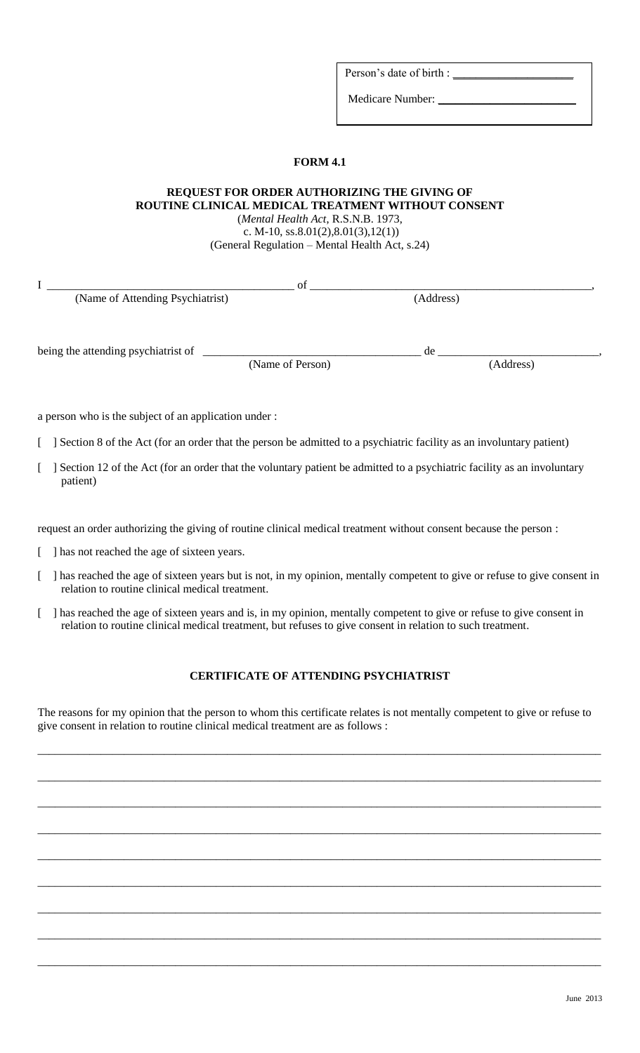Person's date of birth :

Medicare Number: \_\_\_\_\_\_\_\_\_\_\_\_\_\_\_\_\_\_\_\_\_\_\_\_

## **FORM 4.1**

## **REQUEST FOR ORDER AUTHORIZING THE GIVING OF ROUTINE CLINICAL MEDICAL TREATMENT WITHOUT CONSENT** (*Mental Health Act*, R.S.N.B. 1973, c. M-10, ss.  $8.01(2), 8.01(3), 12(1)$ (General Regulation – Mental Health Act, s.24)

I \_\_\_\_\_\_\_\_\_\_\_\_\_\_\_\_\_\_\_\_\_\_\_\_\_\_\_\_\_\_\_\_\_\_\_\_\_\_\_\_\_\_\_ of \_\_\_\_\_\_\_\_\_\_\_\_\_\_\_\_\_\_\_\_\_\_\_\_\_\_\_\_\_\_\_\_\_\_\_\_\_\_\_\_\_\_\_\_\_\_\_\_\_, (Name of Attending Psychiatrist) being the attending psychiatrist of \_\_\_\_\_\_\_\_\_\_\_\_\_\_\_\_\_\_\_\_\_\_\_\_\_\_\_\_\_\_\_\_\_\_\_\_\_\_ de \_\_\_\_\_\_\_\_\_\_\_\_\_\_\_\_\_\_\_\_\_\_\_\_\_\_\_\_, (Name of Person) (Address)

a person who is the subject of an application under :

[ ] Section 8 of the Act (for an order that the person be admitted to a psychiatric facility as an involuntary patient)

[ ] Section 12 of the Act (for an order that the voluntary patient be admitted to a psychiatric facility as an involuntary patient)

request an order authorizing the giving of routine clinical medical treatment without consent because the person :

- [ ] has not reached the age of sixteen years.
- [ ] has reached the age of sixteen years but is not, in my opinion, mentally competent to give or refuse to give consent in relation to routine clinical medical treatment.
- [ ] has reached the age of sixteen years and is, in my opinion, mentally competent to give or refuse to give consent in relation to routine clinical medical treatment, but refuses to give consent in relation to such treatment.

## **CERTIFICATE OF ATTENDING PSYCHIATRIST**

The reasons for my opinion that the person to whom this certificate relates is not mentally competent to give or refuse to give consent in relation to routine clinical medical treatment are as follows :

\_\_\_\_\_\_\_\_\_\_\_\_\_\_\_\_\_\_\_\_\_\_\_\_\_\_\_\_\_\_\_\_\_\_\_\_\_\_\_\_\_\_\_\_\_\_\_\_\_\_\_\_\_\_\_\_\_\_\_\_\_\_\_\_\_\_\_\_\_\_\_\_\_\_\_\_\_\_\_\_\_\_\_\_\_\_\_\_\_\_\_\_\_\_\_\_\_\_

\_\_\_\_\_\_\_\_\_\_\_\_\_\_\_\_\_\_\_\_\_\_\_\_\_\_\_\_\_\_\_\_\_\_\_\_\_\_\_\_\_\_\_\_\_\_\_\_\_\_\_\_\_\_\_\_\_\_\_\_\_\_\_\_\_\_\_\_\_\_\_\_\_\_\_\_\_\_\_\_\_\_\_\_\_\_\_\_\_\_\_\_\_\_\_\_\_\_

\_\_\_\_\_\_\_\_\_\_\_\_\_\_\_\_\_\_\_\_\_\_\_\_\_\_\_\_\_\_\_\_\_\_\_\_\_\_\_\_\_\_\_\_\_\_\_\_\_\_\_\_\_\_\_\_\_\_\_\_\_\_\_\_\_\_\_\_\_\_\_\_\_\_\_\_\_\_\_\_\_\_\_\_\_\_\_\_\_\_\_\_\_\_\_\_\_\_

\_\_\_\_\_\_\_\_\_\_\_\_\_\_\_\_\_\_\_\_\_\_\_\_\_\_\_\_\_\_\_\_\_\_\_\_\_\_\_\_\_\_\_\_\_\_\_\_\_\_\_\_\_\_\_\_\_\_\_\_\_\_\_\_\_\_\_\_\_\_\_\_\_\_\_\_\_\_\_\_\_\_\_\_\_\_\_\_\_\_\_\_\_\_\_\_\_\_

\_\_\_\_\_\_\_\_\_\_\_\_\_\_\_\_\_\_\_\_\_\_\_\_\_\_\_\_\_\_\_\_\_\_\_\_\_\_\_\_\_\_\_\_\_\_\_\_\_\_\_\_\_\_\_\_\_\_\_\_\_\_\_\_\_\_\_\_\_\_\_\_\_\_\_\_\_\_\_\_\_\_\_\_\_\_\_\_\_\_\_\_\_\_\_\_\_\_

\_\_\_\_\_\_\_\_\_\_\_\_\_\_\_\_\_\_\_\_\_\_\_\_\_\_\_\_\_\_\_\_\_\_\_\_\_\_\_\_\_\_\_\_\_\_\_\_\_\_\_\_\_\_\_\_\_\_\_\_\_\_\_\_\_\_\_\_\_\_\_\_\_\_\_\_\_\_\_\_\_\_\_\_\_\_\_\_\_\_\_\_\_\_\_\_\_\_

\_\_\_\_\_\_\_\_\_\_\_\_\_\_\_\_\_\_\_\_\_\_\_\_\_\_\_\_\_\_\_\_\_\_\_\_\_\_\_\_\_\_\_\_\_\_\_\_\_\_\_\_\_\_\_\_\_\_\_\_\_\_\_\_\_\_\_\_\_\_\_\_\_\_\_\_\_\_\_\_\_\_\_\_\_\_\_\_\_\_\_\_\_\_\_\_\_\_

\_\_\_\_\_\_\_\_\_\_\_\_\_\_\_\_\_\_\_\_\_\_\_\_\_\_\_\_\_\_\_\_\_\_\_\_\_\_\_\_\_\_\_\_\_\_\_\_\_\_\_\_\_\_\_\_\_\_\_\_\_\_\_\_\_\_\_\_\_\_\_\_\_\_\_\_\_\_\_\_\_\_\_\_\_\_\_\_\_\_\_\_\_\_\_\_\_\_

\_\_\_\_\_\_\_\_\_\_\_\_\_\_\_\_\_\_\_\_\_\_\_\_\_\_\_\_\_\_\_\_\_\_\_\_\_\_\_\_\_\_\_\_\_\_\_\_\_\_\_\_\_\_\_\_\_\_\_\_\_\_\_\_\_\_\_\_\_\_\_\_\_\_\_\_\_\_\_\_\_\_\_\_\_\_\_\_\_\_\_\_\_\_\_\_\_\_